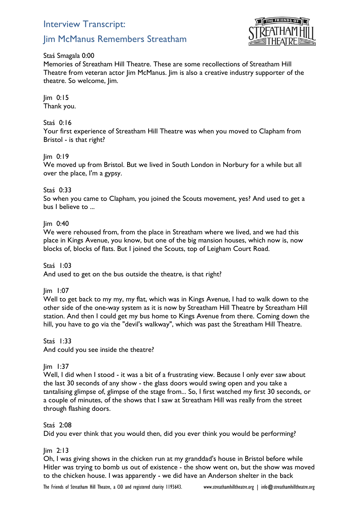# Interview Transcript:

# Jim McManus Remembers Streatham



Staś Smagala 0:00

Memories of Streatham Hill Theatre. These are some recollections of Streatham Hill Theatre from veteran actor Jim McManus. Jim is also a creative industry supporter of the theatre. So welcome, Jim.

Jim 0:15 Thank you.

Staś 0:16

Your first experience of Streatham Hill Theatre was when you moved to Clapham from Bristol - is that right?

## Jim 0:19

We moved up from Bristol. But we lived in South London in Norbury for a while but all over the place, I'm a gypsy.

## Staś 0:33

So when you came to Clapham, you joined the Scouts movement, yes? And used to get a bus I believe to ...

## Jim 0:40

We were rehoused from, from the place in Streatham where we lived, and we had this place in Kings Avenue, you know, but one of the big mansion houses, which now is, now blocks of, blocks of flats. But I joined the Scouts, top of Leigham Court Road.

Staś 1:03 And used to get on the bus outside the theatre, is that right?

Jim 1:07

Well to get back to my my, my flat, which was in Kings Avenue, I had to walk down to the other side of the one-way system as it is now by Streatham Hill Theatre by Streatham Hill station. And then I could get my bus home to Kings Avenue from there. Coming down the hill, you have to go via the "devil's walkway", which was past the Streatham Hill Theatre.

Staś 1:33

And could you see inside the theatre?

#### Jim 1:37

Well, I did when I stood - it was a bit of a frustrating view. Because I only ever saw about the last 30 seconds of any show - the glass doors would swing open and you take a tantalising glimpse of, glimpse of the stage from... So, I first watched my first 30 seconds, or a couple of minutes, of the shows that I saw at Streatham Hill was really from the street through flashing doors.

#### Staś 2:08

Did you ever think that you would then, did you ever think you would be performing?

#### Jim 2:13

Oh, I was giving shows in the chicken run at my granddad's house in Bristol before while Hitler was trying to bomb us out of existence - the show went on, but the show was moved to the chicken house. I was apparently - we did have an Anderson shelter in the back

The Friends of Streatham Hill Theatre, a CIO and registered charity 1193643. www.streathamhilltheatre.org | info@streathamhilltheatre.org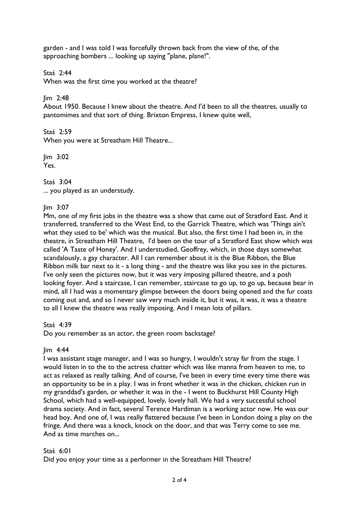garden - and I was told I was forcefully thrown back from the view of the, of the approaching bombers ... looking up saying "plane, plane!".

Staś 2:44

When was the first time you worked at the theatre?

Jim 2:48

About 1950. Because I knew about the theatre. And I'd been to all the theatres, usually to pantomimes and that sort of thing. Brixton Empress, I knew quite well,

Staś 2:59 When you were at Streatham Hill Theatre...

Jim 3:02 Yes.

Staś 3:04 ... you played as an understudy.

Jim 3:07

Mm, one of my first jobs in the theatre was a show that came out of Stratford East. And it transferred, transferred to the West End, to the Garrick Theatre, which was 'Things ain't what they used to be' which was the musical. But also, the first time I had been in, in the theatre, in Streatham Hill Theatre, I'd been on the tour of a Stratford East show which was called 'A Taste of Honey'. And I understudied, Geoffrey, which, in those days somewhat scandalously, a gay character. All I can remember about it is the Blue Ribbon, the Blue Ribbon milk bar next to it - a long thing - and the theatre was like you see in the pictures. I've only seen the pictures now, but it was very imposing pillared theatre, and a posh looking foyer. And a staircase, I can remember, staircase to go up, to go up, because bear in mind, all I had was a momentary glimpse between the doors being opened and the fur coats coming out and, and so I never saw very much inside it, but it was, it was, it was a theatre to all I knew the theatre was really imposing. And I mean lots of pillars.

Staś 4:39

Do you remember as an actor, the green room backstage?

# $lim$  4:44

I was assistant stage manager, and I was so hungry, I wouldn't stray far from the stage. I would listen in to the to the actress chatter which was like manna from heaven to me, to act as relaxed as really talking. And of course, I've been in every time every time there was an opportunity to be in a play. I was in front whether it was in the chicken, chicken run in my granddad's garden, or whether it was in the - I went to Buckhurst Hill County High School, which had a well-equipped, lovely, lovely hall. We had a very successful school drama society. And in fact, several Terence Hardiman is a working actor now. He was our head boy. And one of, I was really flattered because I've been in London doing a play on the fringe. And there was a knock, knock on the door, and that was Terry come to see me. And as time marches on...

# Staś 6:01

Did you enjoy your time as a performer in the Streatham Hill Theatre?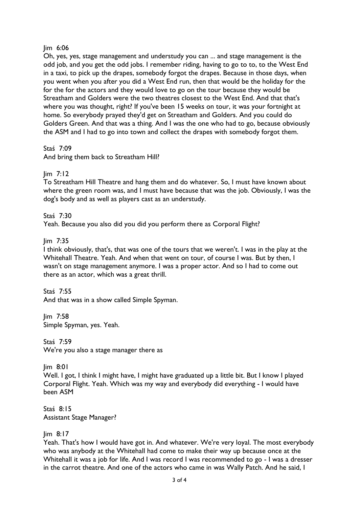## Jim 6:06

Oh, yes, yes, stage management and understudy you can ... and stage management is the odd job, and you get the odd jobs. I remember riding, having to go to to, to the West End in a taxi, to pick up the drapes, somebody forgot the drapes. Because in those days, when you went when you after you did a West End run, then that would be the holiday for the for the for the actors and they would love to go on the tour because they would be Streatham and Golders were the two theatres closest to the West End. And that that's where you was thought, right? If you've been 15 weeks on tour, it was your fortnight at home. So everybody prayed they'd get on Streatham and Golders. And you could do Golders Green. And that was a thing. And I was the one who had to go, because obviously the ASM and I had to go into town and collect the drapes with somebody forgot them.

Staś 7:09

And bring them back to Streatham Hill?

# $\lim$  7:12

To Streatham Hill Theatre and hang them and do whatever. So, I must have known about where the green room was, and I must have because that was the job. Obviously, I was the dog's body and as well as players cast as an understudy.

## Staś 7:30

Yeah. Because you also did you did you perform there as Corporal Flight?

## Jim 7:35

I think obviously, that's, that was one of the tours that we weren't. I was in the play at the Whitehall Theatre. Yeah. And when that went on tour, of course I was. But by then, I wasn't on stage management anymore. I was a proper actor. And so I had to come out there as an actor, which was a great thrill.

Staś 7:55

And that was in a show called Simple Spyman.

Jim 7:58 Simple Spyman, yes. Yeah.

Staś 7:59 We're you also a stage manager there as

Jim 8:01

Well. I got, I think I might have, I might have graduated up a little bit. But I know I played Corporal Flight. Yeah. Which was my way and everybody did everything - I would have been ASM

Staś 8:15 Assistant Stage Manager?

# Jim 8:17

Yeah. That's how I would have got in. And whatever. We're very loyal. The most everybody who was anybody at the Whitehall had come to make their way up because once at the Whitehall it was a job for life. And I was record I was recommended to go - I was a dresser in the carrot theatre. And one of the actors who came in was Wally Patch. And he said, I